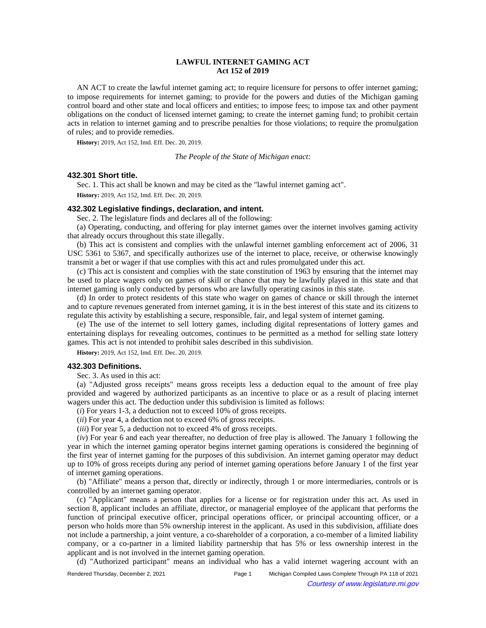## **LAWFUL INTERNET GAMING ACT Act 152 of 2019**

AN ACT to create the lawful internet gaming act; to require licensure for persons to offer internet gaming; to impose requirements for internet gaming; to provide for the powers and duties of the Michigan gaming control board and other state and local officers and entities; to impose fees; to impose tax and other payment obligations on the conduct of licensed internet gaming; to create the internet gaming fund; to prohibit certain acts in relation to internet gaming and to prescribe penalties for those violations; to require the promulgation of rules; and to provide remedies.

**History:** 2019, Act 152, Imd. Eff. Dec. 20, 2019.

*The People of the State of Michigan enact:*

## **432.301 Short title.**

Sec. 1. This act shall be known and may be cited as the "lawful internet gaming act". **History:** 2019, Act 152, Imd. Eff. Dec. 20, 2019.

#### **432.302 Legislative findings, declaration, and intent.**

Sec. 2. The legislature finds and declares all of the following:

(a) Operating, conducting, and offering for play internet games over the internet involves gaming activity that already occurs throughout this state illegally.

(b) This act is consistent and complies with the unlawful internet gambling enforcement act of 2006, 31 USC 5361 to 5367, and specifically authorizes use of the internet to place, receive, or otherwise knowingly transmit a bet or wager if that use complies with this act and rules promulgated under this act.

(c) This act is consistent and complies with the state constitution of 1963 by ensuring that the internet may be used to place wagers only on games of skill or chance that may be lawfully played in this state and that internet gaming is only conducted by persons who are lawfully operating casinos in this state.

(d) In order to protect residents of this state who wager on games of chance or skill through the internet and to capture revenues generated from internet gaming, it is in the best interest of this state and its citizens to regulate this activity by establishing a secure, responsible, fair, and legal system of internet gaming.

(e) The use of the internet to sell lottery games, including digital representations of lottery games and entertaining displays for revealing outcomes, continues to be permitted as a method for selling state lottery games. This act is not intended to prohibit sales described in this subdivision.

**History:** 2019, Act 152, Imd. Eff. Dec. 20, 2019.

## **432.303 Definitions.**

Sec. 3. As used in this act:

(a) "Adjusted gross receipts" means gross receipts less a deduction equal to the amount of free play provided and wagered by authorized participants as an incentive to place or as a result of placing internet wagers under this act. The deduction under this subdivision is limited as follows:

(*i*) For years 1-3, a deduction not to exceed 10% of gross receipts.

(*ii*) For year 4, a deduction not to exceed 6% of gross receipts.

(*iii*) For year 5, a deduction not to exceed 4% of gross receipts.

(*iv*) For year 6 and each year thereafter, no deduction of free play is allowed. The January 1 following the year in which the internet gaming operator begins internet gaming operations is considered the beginning of the first year of internet gaming for the purposes of this subdivision. An internet gaming operator may deduct up to 10% of gross receipts during any period of internet gaming operations before January 1 of the first year of internet gaming operations.

(b) "Affiliate" means a person that, directly or indirectly, through 1 or more intermediaries, controls or is controlled by an internet gaming operator.

(c) "Applicant" means a person that applies for a license or for registration under this act. As used in section 8, applicant includes an affiliate, director, or managerial employee of the applicant that performs the function of principal executive officer, principal operations officer, or principal accounting officer, or a person who holds more than 5% ownership interest in the applicant. As used in this subdivision, affiliate does not include a partnership, a joint venture, a co-shareholder of a corporation, a co-member of a limited liability company, or a co-partner in a limited liability partnership that has 5% or less ownership interest in the applicant and is not involved in the internet gaming operation.

(d) "Authorized participant" means an individual who has a valid internet wagering account with an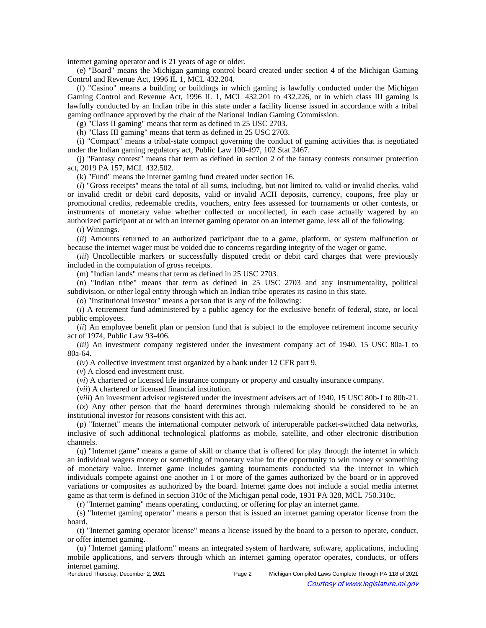internet gaming operator and is 21 years of age or older.

(e) "Board" means the Michigan gaming control board created under section 4 of the Michigan Gaming Control and Revenue Act, 1996 IL 1, MCL 432.204.

(f) "Casino" means a building or buildings in which gaming is lawfully conducted under the Michigan Gaming Control and Revenue Act, 1996 IL 1, MCL 432.201 to 432.226, or in which class III gaming is lawfully conducted by an Indian tribe in this state under a facility license issued in accordance with a tribal gaming ordinance approved by the chair of the National Indian Gaming Commission.

(g) "Class II gaming" means that term as defined in 25 USC 2703.

(h) "Class III gaming" means that term as defined in 25 USC 2703.

(i) "Compact" means a tribal-state compact governing the conduct of gaming activities that is negotiated under the Indian gaming regulatory act, Public Law 100-497, 102 Stat 2467.

(j) "Fantasy contest" means that term as defined in section 2 of the fantasy contests consumer protection act, 2019 PA 157, MCL 432.502.

(k) "Fund" means the internet gaming fund created under section 16.

(*l*) "Gross receipts" means the total of all sums, including, but not limited to, valid or invalid checks, valid or invalid credit or debit card deposits, valid or invalid ACH deposits, currency, coupons, free play or promotional credits, redeemable credits, vouchers, entry fees assessed for tournaments or other contests, or instruments of monetary value whether collected or uncollected, in each case actually wagered by an authorized participant at or with an internet gaming operator on an internet game, less all of the following:

(*i*) Winnings.

(*ii*) Amounts returned to an authorized participant due to a game, platform, or system malfunction or because the internet wager must be voided due to concerns regarding integrity of the wager or game.

(*iii*) Uncollectible markers or successfully disputed credit or debit card charges that were previously included in the computation of gross receipts.

(m) "Indian lands" means that term as defined in 25 USC 2703.

(n) "Indian tribe" means that term as defined in 25 USC 2703 and any instrumentality, political subdivision, or other legal entity through which an Indian tribe operates its casino in this state.

(o) "Institutional investor" means a person that is any of the following:

(*i*) A retirement fund administered by a public agency for the exclusive benefit of federal, state, or local public employees.

(*ii*) An employee benefit plan or pension fund that is subject to the employee retirement income security act of 1974, Public Law 93-406.

(*iii*) An investment company registered under the investment company act of 1940, 15 USC 80a-1 to 80a-64.

(*iv*) A collective investment trust organized by a bank under 12 CFR part 9.

(*v*) A closed end investment trust.

(*vi*) A chartered or licensed life insurance company or property and casualty insurance company.

(*vii*) A chartered or licensed financial institution.

(*viii*) An investment advisor registered under the investment advisers act of 1940, 15 USC 80b-1 to 80b-21.

(*ix*) Any other person that the board determines through rulemaking should be considered to be an institutional investor for reasons consistent with this act.

(p) "Internet" means the international computer network of interoperable packet-switched data networks, inclusive of such additional technological platforms as mobile, satellite, and other electronic distribution channels.

(q) "Internet game" means a game of skill or chance that is offered for play through the internet in which an individual wagers money or something of monetary value for the opportunity to win money or something of monetary value. Internet game includes gaming tournaments conducted via the internet in which individuals compete against one another in 1 or more of the games authorized by the board or in approved variations or composites as authorized by the board. Internet game does not include a social media internet game as that term is defined in section 310c of the Michigan penal code, 1931 PA 328, MCL 750.310c.

(r) "Internet gaming" means operating, conducting, or offering for play an internet game.

(s) "Internet gaming operator" means a person that is issued an internet gaming operator license from the board.

(t) "Internet gaming operator license" means a license issued by the board to a person to operate, conduct, or offer internet gaming.

(u) "Internet gaming platform" means an integrated system of hardware, software, applications, including mobile applications, and servers through which an internet gaming operator operates, conducts, or offers internet gaming.<br>Rendered Thursday, December 2, 2021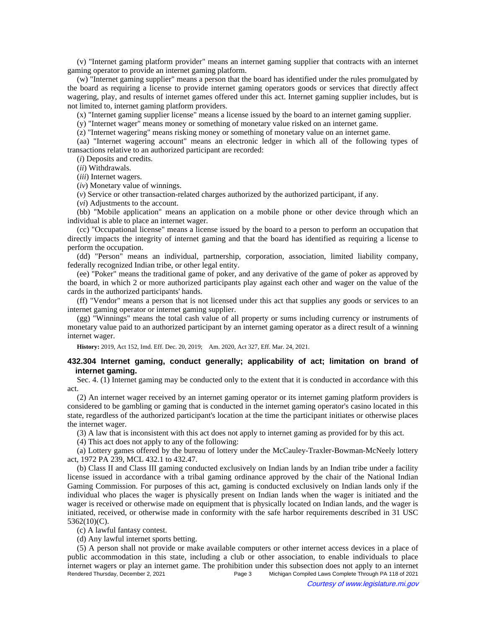(v) "Internet gaming platform provider" means an internet gaming supplier that contracts with an internet gaming operator to provide an internet gaming platform.

(w) "Internet gaming supplier" means a person that the board has identified under the rules promulgated by the board as requiring a license to provide internet gaming operators goods or services that directly affect wagering, play, and results of internet games offered under this act. Internet gaming supplier includes, but is not limited to, internet gaming platform providers.

(x) "Internet gaming supplier license" means a license issued by the board to an internet gaming supplier.

(y) "Internet wager" means money or something of monetary value risked on an internet game.

(z) "Internet wagering" means risking money or something of monetary value on an internet game.

(aa) "Internet wagering account" means an electronic ledger in which all of the following types of transactions relative to an authorized participant are recorded:

(*i*) Deposits and credits.

(*ii*) Withdrawals.

(*iii*) Internet wagers.

(*iv*) Monetary value of winnings.

(*v*) Service or other transaction-related charges authorized by the authorized participant, if any.

(*vi*) Adjustments to the account.

(bb) "Mobile application" means an application on a mobile phone or other device through which an individual is able to place an internet wager.

(cc) "Occupational license" means a license issued by the board to a person to perform an occupation that directly impacts the integrity of internet gaming and that the board has identified as requiring a license to perform the occupation.

(dd) "Person" means an individual, partnership, corporation, association, limited liability company, federally recognized Indian tribe, or other legal entity.

(ee) "Poker" means the traditional game of poker, and any derivative of the game of poker as approved by the board, in which 2 or more authorized participants play against each other and wager on the value of the cards in the authorized participants' hands.

(ff) "Vendor" means a person that is not licensed under this act that supplies any goods or services to an internet gaming operator or internet gaming supplier.

(gg) "Winnings" means the total cash value of all property or sums including currency or instruments of monetary value paid to an authorized participant by an internet gaming operator as a direct result of a winning internet wager.

History: 2019, Act 152, Imd. Eff. Dec. 20, 2019;—Am. 2020, Act 327, Eff. Mar. 24, 2021.

## **432.304 Internet gaming, conduct generally; applicability of act; limitation on brand of internet gaming.**

Sec. 4. (1) Internet gaming may be conducted only to the extent that it is conducted in accordance with this act.

(2) An internet wager received by an internet gaming operator or its internet gaming platform providers is considered to be gambling or gaming that is conducted in the internet gaming operator's casino located in this state, regardless of the authorized participant's location at the time the participant initiates or otherwise places the internet wager.

(3) A law that is inconsistent with this act does not apply to internet gaming as provided for by this act.

(4) This act does not apply to any of the following:

(a) Lottery games offered by the bureau of lottery under the McCauley-Traxler-Bowman-McNeely lottery act, 1972 PA 239, MCL 432.1 to 432.47.

(b) Class II and Class III gaming conducted exclusively on Indian lands by an Indian tribe under a facility license issued in accordance with a tribal gaming ordinance approved by the chair of the National Indian Gaming Commission. For purposes of this act, gaming is conducted exclusively on Indian lands only if the individual who places the wager is physically present on Indian lands when the wager is initiated and the wager is received or otherwise made on equipment that is physically located on Indian lands, and the wager is initiated, received, or otherwise made in conformity with the safe harbor requirements described in 31 USC 5362(10)(C).

(c) A lawful fantasy contest.

(d) Any lawful internet sports betting.

(5) A person shall not provide or make available computers or other internet access devices in a place of public accommodation in this state, including a club or other association, to enable individuals to place internet wagers or play an internet game. The prohibition under this subsection does not apply to an internet Rendered Thursday, December 2, 2021 Page 3 Michigan Compiled Laws Complete Through PA 118 of 2021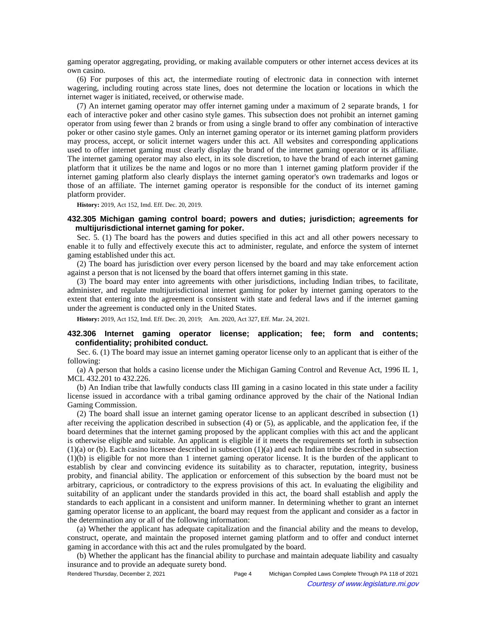gaming operator aggregating, providing, or making available computers or other internet access devices at its own casino.

(6) For purposes of this act, the intermediate routing of electronic data in connection with internet wagering, including routing across state lines, does not determine the location or locations in which the internet wager is initiated, received, or otherwise made.

(7) An internet gaming operator may offer internet gaming under a maximum of 2 separate brands, 1 for each of interactive poker and other casino style games. This subsection does not prohibit an internet gaming operator from using fewer than 2 brands or from using a single brand to offer any combination of interactive poker or other casino style games. Only an internet gaming operator or its internet gaming platform providers may process, accept, or solicit internet wagers under this act. All websites and corresponding applications used to offer internet gaming must clearly display the brand of the internet gaming operator or its affiliate. The internet gaming operator may also elect, in its sole discretion, to have the brand of each internet gaming platform that it utilizes be the name and logos or no more than 1 internet gaming platform provider if the internet gaming platform also clearly displays the internet gaming operator's own trademarks and logos or those of an affiliate. The internet gaming operator is responsible for the conduct of its internet gaming platform provider.

**History:** 2019, Act 152, Imd. Eff. Dec. 20, 2019.

## **432.305 Michigan gaming control board; powers and duties; jurisdiction; agreements for multijurisdictional internet gaming for poker.**

Sec. 5. (1) The board has the powers and duties specified in this act and all other powers necessary to enable it to fully and effectively execute this act to administer, regulate, and enforce the system of internet gaming established under this act.

(2) The board has jurisdiction over every person licensed by the board and may take enforcement action against a person that is not licensed by the board that offers internet gaming in this state.

(3) The board may enter into agreements with other jurisdictions, including Indian tribes, to facilitate, administer, and regulate multijurisdictional internet gaming for poker by internet gaming operators to the extent that entering into the agreement is consistent with state and federal laws and if the internet gaming under the agreement is conducted only in the United States.

History: 2019, Act 152, Imd. Eff. Dec. 20, 2019;-- Am. 2020, Act 327, Eff. Mar. 24, 2021.

# **432.306 Internet gaming operator license; application; fee; form and contents; confidentiality; prohibited conduct.**

Sec. 6. (1) The board may issue an internet gaming operator license only to an applicant that is either of the following:

(a) A person that holds a casino license under the Michigan Gaming Control and Revenue Act, 1996 IL 1, MCL 432.201 to 432.226.

(b) An Indian tribe that lawfully conducts class III gaming in a casino located in this state under a facility license issued in accordance with a tribal gaming ordinance approved by the chair of the National Indian Gaming Commission.

(2) The board shall issue an internet gaming operator license to an applicant described in subsection (1) after receiving the application described in subsection (4) or (5), as applicable, and the application fee, if the board determines that the internet gaming proposed by the applicant complies with this act and the applicant is otherwise eligible and suitable. An applicant is eligible if it meets the requirements set forth in subsection (1)(a) or (b). Each casino licensee described in subsection (1)(a) and each Indian tribe described in subsection (1)(b) is eligible for not more than 1 internet gaming operator license. It is the burden of the applicant to establish by clear and convincing evidence its suitability as to character, reputation, integrity, business probity, and financial ability. The application or enforcement of this subsection by the board must not be arbitrary, capricious, or contradictory to the express provisions of this act. In evaluating the eligibility and suitability of an applicant under the standards provided in this act, the board shall establish and apply the standards to each applicant in a consistent and uniform manner. In determining whether to grant an internet gaming operator license to an applicant, the board may request from the applicant and consider as a factor in the determination any or all of the following information:

(a) Whether the applicant has adequate capitalization and the financial ability and the means to develop, construct, operate, and maintain the proposed internet gaming platform and to offer and conduct internet gaming in accordance with this act and the rules promulgated by the board.

(b) Whether the applicant has the financial ability to purchase and maintain adequate liability and casualty insurance and to provide an adequate surety bond.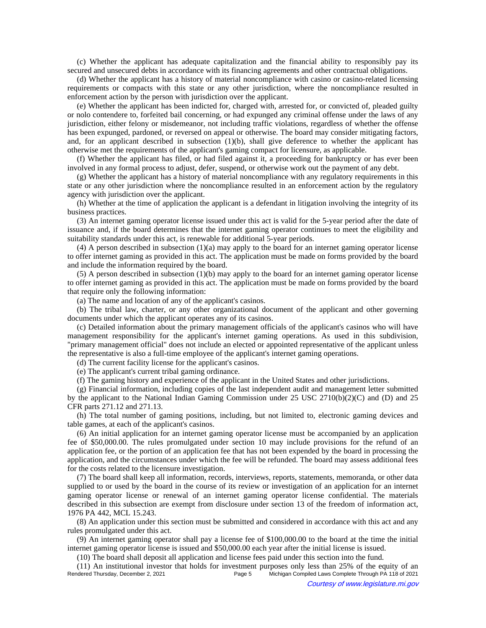(c) Whether the applicant has adequate capitalization and the financial ability to responsibly pay its secured and unsecured debts in accordance with its financing agreements and other contractual obligations.

(d) Whether the applicant has a history of material noncompliance with casino or casino-related licensing requirements or compacts with this state or any other jurisdiction, where the noncompliance resulted in enforcement action by the person with jurisdiction over the applicant.

(e) Whether the applicant has been indicted for, charged with, arrested for, or convicted of, pleaded guilty or nolo contendere to, forfeited bail concerning, or had expunged any criminal offense under the laws of any jurisdiction, either felony or misdemeanor, not including traffic violations, regardless of whether the offense has been expunged, pardoned, or reversed on appeal or otherwise. The board may consider mitigating factors, and, for an applicant described in subsection (1)(b), shall give deference to whether the applicant has otherwise met the requirements of the applicant's gaming compact for licensure, as applicable.

(f) Whether the applicant has filed, or had filed against it, a proceeding for bankruptcy or has ever been involved in any formal process to adjust, defer, suspend, or otherwise work out the payment of any debt.

(g) Whether the applicant has a history of material noncompliance with any regulatory requirements in this state or any other jurisdiction where the noncompliance resulted in an enforcement action by the regulatory agency with jurisdiction over the applicant.

(h) Whether at the time of application the applicant is a defendant in litigation involving the integrity of its business practices.

(3) An internet gaming operator license issued under this act is valid for the 5-year period after the date of issuance and, if the board determines that the internet gaming operator continues to meet the eligibility and suitability standards under this act, is renewable for additional 5-year periods.

(4) A person described in subsection (1)(a) may apply to the board for an internet gaming operator license to offer internet gaming as provided in this act. The application must be made on forms provided by the board and include the information required by the board.

(5) A person described in subsection (1)(b) may apply to the board for an internet gaming operator license to offer internet gaming as provided in this act. The application must be made on forms provided by the board that require only the following information:

(a) The name and location of any of the applicant's casinos.

(b) The tribal law, charter, or any other organizational document of the applicant and other governing documents under which the applicant operates any of its casinos.

(c) Detailed information about the primary management officials of the applicant's casinos who will have management responsibility for the applicant's internet gaming operations. As used in this subdivision, "primary management official" does not include an elected or appointed representative of the applicant unless the representative is also a full-time employee of the applicant's internet gaming operations.

(d) The current facility license for the applicant's casinos.

(e) The applicant's current tribal gaming ordinance.

(f) The gaming history and experience of the applicant in the United States and other jurisdictions.

(g) Financial information, including copies of the last independent audit and management letter submitted by the applicant to the National Indian Gaming Commission under 25 USC 2710(b)(2)(C) and (D) and 25 CFR parts 271.12 and 271.13.

(h) The total number of gaming positions, including, but not limited to, electronic gaming devices and table games, at each of the applicant's casinos.

(6) An initial application for an internet gaming operator license must be accompanied by an application fee of \$50,000.00. The rules promulgated under section 10 may include provisions for the refund of an application fee, or the portion of an application fee that has not been expended by the board in processing the application, and the circumstances under which the fee will be refunded. The board may assess additional fees for the costs related to the licensure investigation.

(7) The board shall keep all information, records, interviews, reports, statements, memoranda, or other data supplied to or used by the board in the course of its review or investigation of an application for an internet gaming operator license or renewal of an internet gaming operator license confidential. The materials described in this subsection are exempt from disclosure under section 13 of the freedom of information act, 1976 PA 442, MCL 15.243.

(8) An application under this section must be submitted and considered in accordance with this act and any rules promulgated under this act.

(9) An internet gaming operator shall pay a license fee of \$100,000.00 to the board at the time the initial internet gaming operator license is issued and \$50,000.00 each year after the initial license is issued.

(10) The board shall deposit all application and license fees paid under this section into the fund.

(11) An institutional investor that holds for investment purposes only less than 25% of the equity of an Rendered Thursday, December 2, 2021<br>Page 5 Michigan Compiled Laws Complete Through PA 118 of 2021 Michigan Compiled Laws Complete Through PA 118 of 2021 Courtesy of www.legislature.mi.gov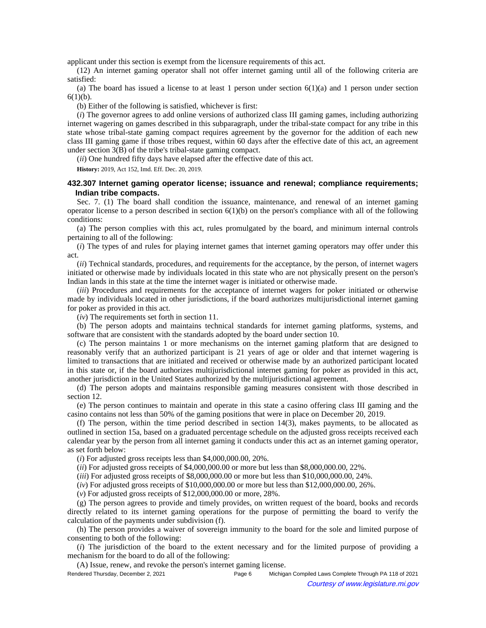applicant under this section is exempt from the licensure requirements of this act.

(12) An internet gaming operator shall not offer internet gaming until all of the following criteria are satisfied:

(a) The board has issued a license to at least 1 person under section  $6(1)(a)$  and 1 person under section  $6(1)(b)$ .

(b) Either of the following is satisfied, whichever is first:

(*i*) The governor agrees to add online versions of authorized class III gaming games, including authorizing internet wagering on games described in this subparagraph, under the tribal-state compact for any tribe in this state whose tribal-state gaming compact requires agreement by the governor for the addition of each new class III gaming game if those tribes request, within 60 days after the effective date of this act, an agreement under section 3(B) of the tribe's tribal-state gaming compact.

(*ii*) One hundred fifty days have elapsed after the effective date of this act.

**History:** 2019, Act 152, Imd. Eff. Dec. 20, 2019.

## **432.307 Internet gaming operator license; issuance and renewal; compliance requirements; Indian tribe compacts.**

Sec. 7. (1) The board shall condition the issuance, maintenance, and renewal of an internet gaming operator license to a person described in section  $6(1)(b)$  on the person's compliance with all of the following conditions:

(a) The person complies with this act, rules promulgated by the board, and minimum internal controls pertaining to all of the following:

(*i*) The types of and rules for playing internet games that internet gaming operators may offer under this act.

(*ii*) Technical standards, procedures, and requirements for the acceptance, by the person, of internet wagers initiated or otherwise made by individuals located in this state who are not physically present on the person's Indian lands in this state at the time the internet wager is initiated or otherwise made.

(*iii*) Procedures and requirements for the acceptance of internet wagers for poker initiated or otherwise made by individuals located in other jurisdictions, if the board authorizes multijurisdictional internet gaming for poker as provided in this act.

(*iv*) The requirements set forth in section 11.

(b) The person adopts and maintains technical standards for internet gaming platforms, systems, and software that are consistent with the standards adopted by the board under section 10.

(c) The person maintains 1 or more mechanisms on the internet gaming platform that are designed to reasonably verify that an authorized participant is 21 years of age or older and that internet wagering is limited to transactions that are initiated and received or otherwise made by an authorized participant located in this state or, if the board authorizes multijurisdictional internet gaming for poker as provided in this act, another jurisdiction in the United States authorized by the multijurisdictional agreement.

(d) The person adopts and maintains responsible gaming measures consistent with those described in section 12.

(e) The person continues to maintain and operate in this state a casino offering class III gaming and the casino contains not less than 50% of the gaming positions that were in place on December 20, 2019.

(f) The person, within the time period described in section 14(3), makes payments, to be allocated as outlined in section 15a, based on a graduated percentage schedule on the adjusted gross receipts received each calendar year by the person from all internet gaming it conducts under this act as an internet gaming operator, as set forth below:

(*i*) For adjusted gross receipts less than \$4,000,000.00, 20%.

(*ii*) For adjusted gross receipts of \$4,000,000.00 or more but less than \$8,000,000.00, 22%.

(*iii*) For adjusted gross receipts of \$8,000,000.00 or more but less than \$10,000,000.00, 24%.

(*iv*) For adjusted gross receipts of \$10,000,000.00 or more but less than \$12,000,000.00, 26%.

(*v*) For adjusted gross receipts of \$12,000,000.00 or more, 28%.

(g) The person agrees to provide and timely provides, on written request of the board, books and records directly related to its internet gaming operations for the purpose of permitting the board to verify the calculation of the payments under subdivision (f).

(h) The person provides a waiver of sovereign immunity to the board for the sole and limited purpose of consenting to both of the following:

(*i*) The jurisdiction of the board to the extent necessary and for the limited purpose of providing a mechanism for the board to do all of the following:

(A) Issue, renew, and revoke the person's internet gaming license.

Rendered Thursday, December 2, 2021 **Page 6** Michigan Compiled Laws Complete Through PA 118 of 2021 Courtesy of www.legislature.mi.gov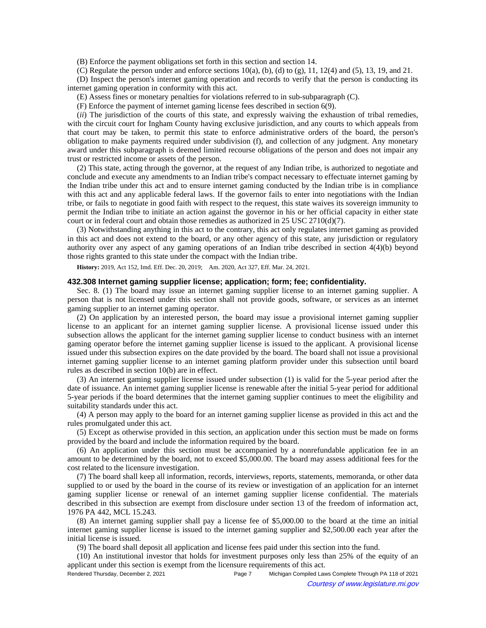(B) Enforce the payment obligations set forth in this section and section 14.

(C) Regulate the person under and enforce sections  $10(a)$ , (b), (d) to (g), 11, 12(4) and (5), 13, 19, and 21.

(D) Inspect the person's internet gaming operation and records to verify that the person is conducting its internet gaming operation in conformity with this act.

(E) Assess fines or monetary penalties for violations referred to in sub-subparagraph (C).

(F) Enforce the payment of internet gaming license fees described in section 6(9).

(*ii*) The jurisdiction of the courts of this state, and expressly waiving the exhaustion of tribal remedies, with the circuit court for Ingham County having exclusive jurisdiction, and any courts to which appeals from that court may be taken, to permit this state to enforce administrative orders of the board, the person's obligation to make payments required under subdivision (f), and collection of any judgment. Any monetary award under this subparagraph is deemed limited recourse obligations of the person and does not impair any trust or restricted income or assets of the person.

(2) This state, acting through the governor, at the request of any Indian tribe, is authorized to negotiate and conclude and execute any amendments to an Indian tribe's compact necessary to effectuate internet gaming by the Indian tribe under this act and to ensure internet gaming conducted by the Indian tribe is in compliance with this act and any applicable federal laws. If the governor fails to enter into negotiations with the Indian tribe, or fails to negotiate in good faith with respect to the request, this state waives its sovereign immunity to permit the Indian tribe to initiate an action against the governor in his or her official capacity in either state court or in federal court and obtain those remedies as authorized in 25 USC 2710(d)(7).

(3) Notwithstanding anything in this act to the contrary, this act only regulates internet gaming as provided in this act and does not extend to the board, or any other agency of this state, any jurisdiction or regulatory authority over any aspect of any gaming operations of an Indian tribe described in section 4(4)(b) beyond those rights granted to this state under the compact with the Indian tribe.

History: 2019, Act 152, Imd. Eff. Dec. 20, 2019;-- Am. 2020, Act 327, Eff. Mar. 24, 2021.

#### **432.308 Internet gaming supplier license; application; form; fee; confidentiality.**

Sec. 8. (1) The board may issue an internet gaming supplier license to an internet gaming supplier. A person that is not licensed under this section shall not provide goods, software, or services as an internet gaming supplier to an internet gaming operator.

(2) On application by an interested person, the board may issue a provisional internet gaming supplier license to an applicant for an internet gaming supplier license. A provisional license issued under this subsection allows the applicant for the internet gaming supplier license to conduct business with an internet gaming operator before the internet gaming supplier license is issued to the applicant. A provisional license issued under this subsection expires on the date provided by the board. The board shall not issue a provisional internet gaming supplier license to an internet gaming platform provider under this subsection until board rules as described in section 10(b) are in effect.

(3) An internet gaming supplier license issued under subsection (1) is valid for the 5-year period after the date of issuance. An internet gaming supplier license is renewable after the initial 5-year period for additional 5-year periods if the board determines that the internet gaming supplier continues to meet the eligibility and suitability standards under this act.

(4) A person may apply to the board for an internet gaming supplier license as provided in this act and the rules promulgated under this act.

(5) Except as otherwise provided in this section, an application under this section must be made on forms provided by the board and include the information required by the board.

(6) An application under this section must be accompanied by a nonrefundable application fee in an amount to be determined by the board, not to exceed \$5,000.00. The board may assess additional fees for the cost related to the licensure investigation.

(7) The board shall keep all information, records, interviews, reports, statements, memoranda, or other data supplied to or used by the board in the course of its review or investigation of an application for an internet gaming supplier license or renewal of an internet gaming supplier license confidential. The materials described in this subsection are exempt from disclosure under section 13 of the freedom of information act, 1976 PA 442, MCL 15.243.

(8) An internet gaming supplier shall pay a license fee of \$5,000.00 to the board at the time an initial internet gaming supplier license is issued to the internet gaming supplier and \$2,500.00 each year after the initial license is issued.

(9) The board shall deposit all application and license fees paid under this section into the fund.

(10) An institutional investor that holds for investment purposes only less than 25% of the equity of an applicant under this section is exempt from the licensure requirements of this act.

Rendered Thursday, December 2, 2021 **Page 7** Michigan Compiled Laws Complete Through PA 118 of 2021 Courtesy of www.legislature.mi.gov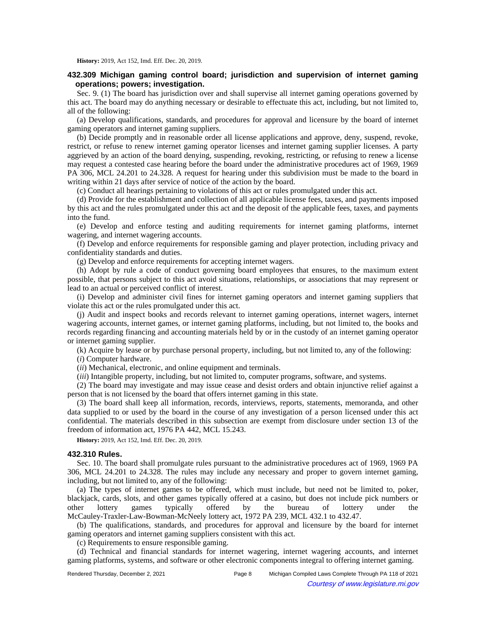**History:** 2019, Act 152, Imd. Eff. Dec. 20, 2019.

## **432.309 Michigan gaming control board; jurisdiction and supervision of internet gaming operations; powers; investigation.**

Sec. 9. (1) The board has jurisdiction over and shall supervise all internet gaming operations governed by this act. The board may do anything necessary or desirable to effectuate this act, including, but not limited to, all of the following:

(a) Develop qualifications, standards, and procedures for approval and licensure by the board of internet gaming operators and internet gaming suppliers.

(b) Decide promptly and in reasonable order all license applications and approve, deny, suspend, revoke, restrict, or refuse to renew internet gaming operator licenses and internet gaming supplier licenses. A party aggrieved by an action of the board denying, suspending, revoking, restricting, or refusing to renew a license may request a contested case hearing before the board under the administrative procedures act of 1969, 1969 PA 306, MCL 24.201 to 24.328. A request for hearing under this subdivision must be made to the board in writing within 21 days after service of notice of the action by the board.

(c) Conduct all hearings pertaining to violations of this act or rules promulgated under this act.

(d) Provide for the establishment and collection of all applicable license fees, taxes, and payments imposed by this act and the rules promulgated under this act and the deposit of the applicable fees, taxes, and payments into the fund.

(e) Develop and enforce testing and auditing requirements for internet gaming platforms, internet wagering, and internet wagering accounts.

(f) Develop and enforce requirements for responsible gaming and player protection, including privacy and confidentiality standards and duties.

(g) Develop and enforce requirements for accepting internet wagers.

(h) Adopt by rule a code of conduct governing board employees that ensures, to the maximum extent possible, that persons subject to this act avoid situations, relationships, or associations that may represent or lead to an actual or perceived conflict of interest.

(i) Develop and administer civil fines for internet gaming operators and internet gaming suppliers that violate this act or the rules promulgated under this act.

(j) Audit and inspect books and records relevant to internet gaming operations, internet wagers, internet wagering accounts, internet games, or internet gaming platforms, including, but not limited to, the books and records regarding financing and accounting materials held by or in the custody of an internet gaming operator or internet gaming supplier.

(k) Acquire by lease or by purchase personal property, including, but not limited to, any of the following:

(*i*) Computer hardware.

(*ii*) Mechanical, electronic, and online equipment and terminals.

(*iii*) Intangible property, including, but not limited to, computer programs, software, and systems.

(2) The board may investigate and may issue cease and desist orders and obtain injunctive relief against a person that is not licensed by the board that offers internet gaming in this state.

(3) The board shall keep all information, records, interviews, reports, statements, memoranda, and other data supplied to or used by the board in the course of any investigation of a person licensed under this act confidential. The materials described in this subsection are exempt from disclosure under section 13 of the freedom of information act, 1976 PA 442, MCL 15.243.

**History:** 2019, Act 152, Imd. Eff. Dec. 20, 2019.

### **432.310 Rules.**

Sec. 10. The board shall promulgate rules pursuant to the administrative procedures act of 1969, 1969 PA 306, MCL 24.201 to 24.328. The rules may include any necessary and proper to govern internet gaming, including, but not limited to, any of the following:

(a) The types of internet games to be offered, which must include, but need not be limited to, poker, blackjack, cards, slots, and other games typically offered at a casino, but does not include pick numbers or other lottery games typically offered by the bureau of lottery under the McCauley-Traxler-Law-Bowman-McNeely lottery act, 1972 PA 239, MCL 432.1 to 432.47.

(b) The qualifications, standards, and procedures for approval and licensure by the board for internet gaming operators and internet gaming suppliers consistent with this act.

(c) Requirements to ensure responsible gaming.

(d) Technical and financial standards for internet wagering, internet wagering accounts, and internet gaming platforms, systems, and software or other electronic components integral to offering internet gaming.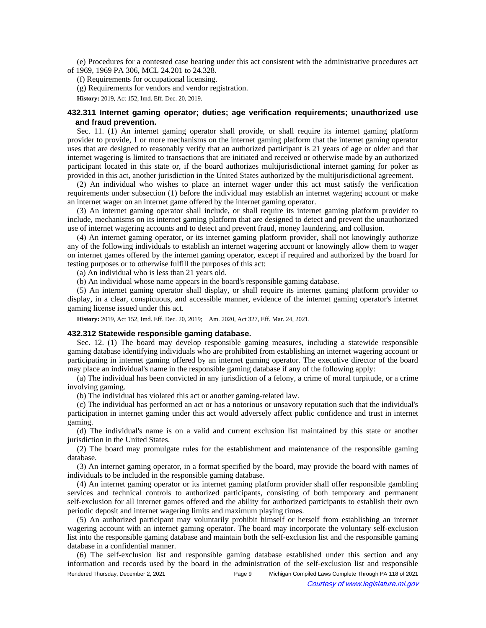(e) Procedures for a contested case hearing under this act consistent with the administrative procedures act of 1969, 1969 PA 306, MCL 24.201 to 24.328.

(f) Requirements for occupational licensing.

(g) Requirements for vendors and vendor registration.

**History:** 2019, Act 152, Imd. Eff. Dec. 20, 2019.

## **432.311 Internet gaming operator; duties; age verification requirements; unauthorized use and fraud prevention.**

Sec. 11. (1) An internet gaming operator shall provide, or shall require its internet gaming platform provider to provide, 1 or more mechanisms on the internet gaming platform that the internet gaming operator uses that are designed to reasonably verify that an authorized participant is 21 years of age or older and that internet wagering is limited to transactions that are initiated and received or otherwise made by an authorized participant located in this state or, if the board authorizes multijurisdictional internet gaming for poker as provided in this act, another jurisdiction in the United States authorized by the multijurisdictional agreement.

(2) An individual who wishes to place an internet wager under this act must satisfy the verification requirements under subsection (1) before the individual may establish an internet wagering account or make an internet wager on an internet game offered by the internet gaming operator.

(3) An internet gaming operator shall include, or shall require its internet gaming platform provider to include, mechanisms on its internet gaming platform that are designed to detect and prevent the unauthorized use of internet wagering accounts and to detect and prevent fraud, money laundering, and collusion.

(4) An internet gaming operator, or its internet gaming platform provider, shall not knowingly authorize any of the following individuals to establish an internet wagering account or knowingly allow them to wager on internet games offered by the internet gaming operator, except if required and authorized by the board for testing purposes or to otherwise fulfill the purposes of this act:

(a) An individual who is less than 21 years old.

(b) An individual whose name appears in the board's responsible gaming database.

(5) An internet gaming operator shall display, or shall require its internet gaming platform provider to display, in a clear, conspicuous, and accessible manner, evidence of the internet gaming operator's internet gaming license issued under this act.

History: 2019, Act 152, Imd. Eff. Dec. 20, 2019;-- Am. 2020, Act 327, Eff. Mar. 24, 2021.

#### **432.312 Statewide responsible gaming database.**

Sec. 12. (1) The board may develop responsible gaming measures, including a statewide responsible gaming database identifying individuals who are prohibited from establishing an internet wagering account or participating in internet gaming offered by an internet gaming operator. The executive director of the board may place an individual's name in the responsible gaming database if any of the following apply:

(a) The individual has been convicted in any jurisdiction of a felony, a crime of moral turpitude, or a crime involving gaming.

(b) The individual has violated this act or another gaming-related law.

(c) The individual has performed an act or has a notorious or unsavory reputation such that the individual's participation in internet gaming under this act would adversely affect public confidence and trust in internet gaming.

(d) The individual's name is on a valid and current exclusion list maintained by this state or another jurisdiction in the United States.

(2) The board may promulgate rules for the establishment and maintenance of the responsible gaming database.

(3) An internet gaming operator, in a format specified by the board, may provide the board with names of individuals to be included in the responsible gaming database.

(4) An internet gaming operator or its internet gaming platform provider shall offer responsible gambling services and technical controls to authorized participants, consisting of both temporary and permanent self-exclusion for all internet games offered and the ability for authorized participants to establish their own periodic deposit and internet wagering limits and maximum playing times.

(5) An authorized participant may voluntarily prohibit himself or herself from establishing an internet wagering account with an internet gaming operator. The board may incorporate the voluntary self-exclusion list into the responsible gaming database and maintain both the self-exclusion list and the responsible gaming database in a confidential manner.

(6) The self-exclusion list and responsible gaming database established under this section and any information and records used by the board in the administration of the self-exclusion list and responsible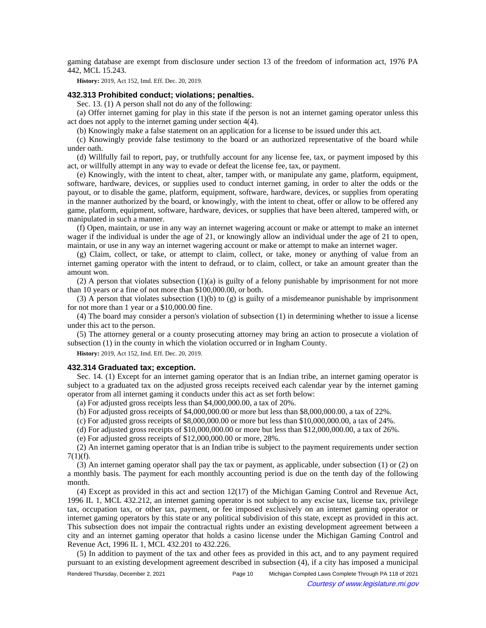gaming database are exempt from disclosure under section 13 of the freedom of information act, 1976 PA 442, MCL 15.243.

**History:** 2019, Act 152, Imd. Eff. Dec. 20, 2019.

# **432.313 Prohibited conduct; violations; penalties.**

Sec. 13. (1) A person shall not do any of the following:

(a) Offer internet gaming for play in this state if the person is not an internet gaming operator unless this act does not apply to the internet gaming under section 4(4).

(b) Knowingly make a false statement on an application for a license to be issued under this act.

(c) Knowingly provide false testimony to the board or an authorized representative of the board while under oath.

(d) Willfully fail to report, pay, or truthfully account for any license fee, tax, or payment imposed by this act, or willfully attempt in any way to evade or defeat the license fee, tax, or payment.

(e) Knowingly, with the intent to cheat, alter, tamper with, or manipulate any game, platform, equipment, software, hardware, devices, or supplies used to conduct internet gaming, in order to alter the odds or the payout, or to disable the game, platform, equipment, software, hardware, devices, or supplies from operating in the manner authorized by the board, or knowingly, with the intent to cheat, offer or allow to be offered any game, platform, equipment, software, hardware, devices, or supplies that have been altered, tampered with, or manipulated in such a manner.

(f) Open, maintain, or use in any way an internet wagering account or make or attempt to make an internet wager if the individual is under the age of 21, or knowingly allow an individual under the age of 21 to open, maintain, or use in any way an internet wagering account or make or attempt to make an internet wager.

(g) Claim, collect, or take, or attempt to claim, collect, or take, money or anything of value from an internet gaming operator with the intent to defraud, or to claim, collect, or take an amount greater than the amount won.

(2) A person that violates subsection (1)(a) is guilty of a felony punishable by imprisonment for not more than 10 years or a fine of not more than \$100,000.00, or both.

(3) A person that violates subsection (1)(b) to (g) is guilty of a misdemeanor punishable by imprisonment for not more than 1 year or a \$10,000.00 fine.

(4) The board may consider a person's violation of subsection (1) in determining whether to issue a license under this act to the person.

(5) The attorney general or a county prosecuting attorney may bring an action to prosecute a violation of subsection (1) in the county in which the violation occurred or in Ingham County.

**History:** 2019, Act 152, Imd. Eff. Dec. 20, 2019.

## **432.314 Graduated tax; exception.**

Sec. 14. (1) Except for an internet gaming operator that is an Indian tribe, an internet gaming operator is subject to a graduated tax on the adjusted gross receipts received each calendar year by the internet gaming operator from all internet gaming it conducts under this act as set forth below:

(a) For adjusted gross receipts less than \$4,000,000.00, a tax of 20%.

(b) For adjusted gross receipts of \$4,000,000.00 or more but less than \$8,000,000.00, a tax of 22%.

(c) For adjusted gross receipts of \$8,000,000.00 or more but less than \$10,000,000.00, a tax of 24%.

(d) For adjusted gross receipts of \$10,000,000.00 or more but less than \$12,000,000.00, a tax of 26%.

(e) For adjusted gross receipts of \$12,000,000.00 or more, 28%.

(2) An internet gaming operator that is an Indian tribe is subject to the payment requirements under section  $7(1)(f)$ .

(3) An internet gaming operator shall pay the tax or payment, as applicable, under subsection (1) or (2) on a monthly basis. The payment for each monthly accounting period is due on the tenth day of the following month.

(4) Except as provided in this act and section 12(17) of the Michigan Gaming Control and Revenue Act, 1996 IL 1, MCL 432.212, an internet gaming operator is not subject to any excise tax, license tax, privilege tax, occupation tax, or other tax, payment, or fee imposed exclusively on an internet gaming operator or internet gaming operators by this state or any political subdivision of this state, except as provided in this act. This subsection does not impair the contractual rights under an existing development agreement between a city and an internet gaming operator that holds a casino license under the Michigan Gaming Control and Revenue Act, 1996 IL 1, MCL 432.201 to 432.226.

(5) In addition to payment of the tax and other fees as provided in this act, and to any payment required pursuant to an existing development agreement described in subsection (4), if a city has imposed a municipal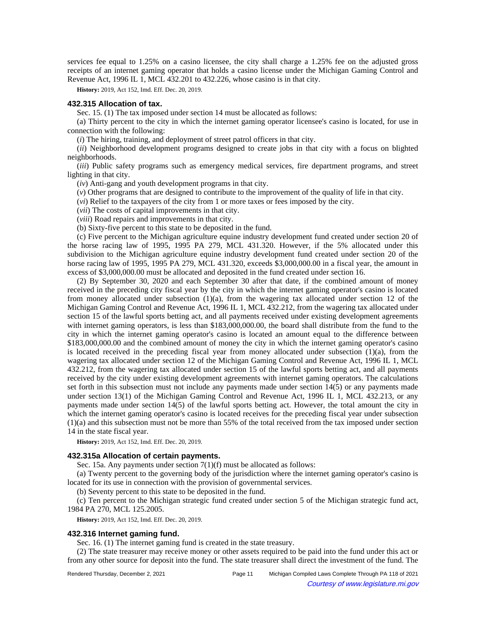services fee equal to 1.25% on a casino licensee, the city shall charge a 1.25% fee on the adjusted gross receipts of an internet gaming operator that holds a casino license under the Michigan Gaming Control and Revenue Act, 1996 IL 1, MCL 432.201 to 432.226, whose casino is in that city.

**History:** 2019, Act 152, Imd. Eff. Dec. 20, 2019.

## **432.315 Allocation of tax.**

Sec. 15. (1) The tax imposed under section 14 must be allocated as follows:

(a) Thirty percent to the city in which the internet gaming operator licensee's casino is located, for use in connection with the following:

(*i*) The hiring, training, and deployment of street patrol officers in that city.

(*ii*) Neighborhood development programs designed to create jobs in that city with a focus on blighted neighborhoods.

(*iii*) Public safety programs such as emergency medical services, fire department programs, and street lighting in that city.

(*iv*) Anti-gang and youth development programs in that city.

(*v*) Other programs that are designed to contribute to the improvement of the quality of life in that city.

(*vi*) Relief to the taxpayers of the city from 1 or more taxes or fees imposed by the city.

(*vii*) The costs of capital improvements in that city.

(*viii*) Road repairs and improvements in that city.

(b) Sixty-five percent to this state to be deposited in the fund.

(c) Five percent to the Michigan agriculture equine industry development fund created under section 20 of the horse racing law of 1995, 1995 PA 279, MCL 431.320. However, if the 5% allocated under this subdivision to the Michigan agriculture equine industry development fund created under section 20 of the horse racing law of 1995, 1995 PA 279, MCL 431.320, exceeds \$3,000,000.00 in a fiscal year, the amount in excess of \$3,000,000.00 must be allocated and deposited in the fund created under section 16.

(2) By September 30, 2020 and each September 30 after that date, if the combined amount of money received in the preceding city fiscal year by the city in which the internet gaming operator's casino is located from money allocated under subsection  $(1)(a)$ , from the wagering tax allocated under section 12 of the Michigan Gaming Control and Revenue Act, 1996 IL 1, MCL 432.212, from the wagering tax allocated under section 15 of the lawful sports betting act, and all payments received under existing development agreements with internet gaming operators, is less than \$183,000,000.00, the board shall distribute from the fund to the city in which the internet gaming operator's casino is located an amount equal to the difference between \$183,000,000.00 and the combined amount of money the city in which the internet gaming operator's casino is located received in the preceding fiscal year from money allocated under subsection (1)(a), from the wagering tax allocated under section 12 of the Michigan Gaming Control and Revenue Act, 1996 IL 1, MCL 432.212, from the wagering tax allocated under section 15 of the lawful sports betting act, and all payments received by the city under existing development agreements with internet gaming operators. The calculations set forth in this subsection must not include any payments made under section 14(5) or any payments made under section 13(1) of the Michigan Gaming Control and Revenue Act, 1996 IL 1, MCL 432.213, or any payments made under section 14(5) of the lawful sports betting act. However, the total amount the city in which the internet gaming operator's casino is located receives for the preceding fiscal year under subsection (1)(a) and this subsection must not be more than 55% of the total received from the tax imposed under section 14 in the state fiscal year.

**History:** 2019, Act 152, Imd. Eff. Dec. 20, 2019.

#### **432.315a Allocation of certain payments.**

Sec. 15a. Any payments under section 7(1)(f) must be allocated as follows:

(a) Twenty percent to the governing body of the jurisdiction where the internet gaming operator's casino is located for its use in connection with the provision of governmental services.

(b) Seventy percent to this state to be deposited in the fund.

(c) Ten percent to the Michigan strategic fund created under section 5 of the Michigan strategic fund act, 1984 PA 270, MCL 125.2005.

**History:** 2019, Act 152, Imd. Eff. Dec. 20, 2019.

### **432.316 Internet gaming fund.**

Sec. 16. (1) The internet gaming fund is created in the state treasury.

(2) The state treasurer may receive money or other assets required to be paid into the fund under this act or from any other source for deposit into the fund. The state treasurer shall direct the investment of the fund. The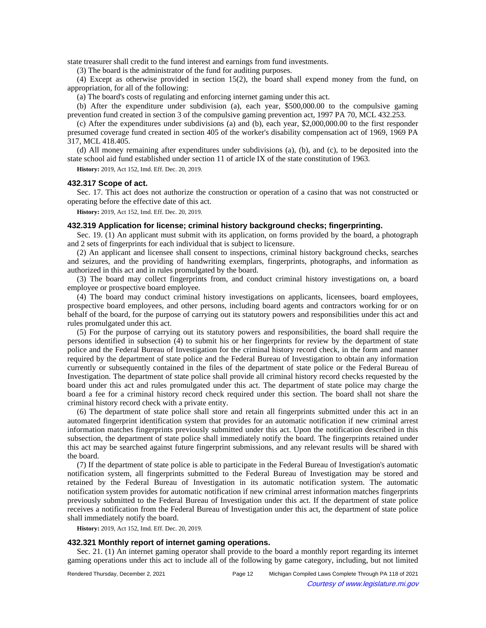state treasurer shall credit to the fund interest and earnings from fund investments.

(3) The board is the administrator of the fund for auditing purposes.

(4) Except as otherwise provided in section 15(2), the board shall expend money from the fund, on appropriation, for all of the following:

(a) The board's costs of regulating and enforcing internet gaming under this act.

(b) After the expenditure under subdivision (a), each year, \$500,000.00 to the compulsive gaming prevention fund created in section 3 of the compulsive gaming prevention act, 1997 PA 70, MCL 432.253.

(c) After the expenditures under subdivisions (a) and (b), each year, \$2,000,000.00 to the first responder presumed coverage fund created in section 405 of the worker's disability compensation act of 1969, 1969 PA 317, MCL 418.405.

(d) All money remaining after expenditures under subdivisions (a), (b), and (c), to be deposited into the state school aid fund established under section 11 of article IX of the state constitution of 1963.

**History:** 2019, Act 152, Imd. Eff. Dec. 20, 2019.

#### **432.317 Scope of act.**

Sec. 17. This act does not authorize the construction or operation of a casino that was not constructed or operating before the effective date of this act.

**History:** 2019, Act 152, Imd. Eff. Dec. 20, 2019.

#### **432.319 Application for license; criminal history background checks; fingerprinting.**

Sec. 19. (1) An applicant must submit with its application, on forms provided by the board, a photograph and 2 sets of fingerprints for each individual that is subject to licensure.

(2) An applicant and licensee shall consent to inspections, criminal history background checks, searches and seizures, and the providing of handwriting exemplars, fingerprints, photographs, and information as authorized in this act and in rules promulgated by the board.

(3) The board may collect fingerprints from, and conduct criminal history investigations on, a board employee or prospective board employee.

(4) The board may conduct criminal history investigations on applicants, licensees, board employees, prospective board employees, and other persons, including board agents and contractors working for or on behalf of the board, for the purpose of carrying out its statutory powers and responsibilities under this act and rules promulgated under this act.

(5) For the purpose of carrying out its statutory powers and responsibilities, the board shall require the persons identified in subsection (4) to submit his or her fingerprints for review by the department of state police and the Federal Bureau of Investigation for the criminal history record check, in the form and manner required by the department of state police and the Federal Bureau of Investigation to obtain any information currently or subsequently contained in the files of the department of state police or the Federal Bureau of Investigation. The department of state police shall provide all criminal history record checks requested by the board under this act and rules promulgated under this act. The department of state police may charge the board a fee for a criminal history record check required under this section. The board shall not share the criminal history record check with a private entity.

(6) The department of state police shall store and retain all fingerprints submitted under this act in an automated fingerprint identification system that provides for an automatic notification if new criminal arrest information matches fingerprints previously submitted under this act. Upon the notification described in this subsection, the department of state police shall immediately notify the board. The fingerprints retained under this act may be searched against future fingerprint submissions, and any relevant results will be shared with the board.

(7) If the department of state police is able to participate in the Federal Bureau of Investigation's automatic notification system, all fingerprints submitted to the Federal Bureau of Investigation may be stored and retained by the Federal Bureau of Investigation in its automatic notification system. The automatic notification system provides for automatic notification if new criminal arrest information matches fingerprints previously submitted to the Federal Bureau of Investigation under this act. If the department of state police receives a notification from the Federal Bureau of Investigation under this act, the department of state police shall immediately notify the board.

**History:** 2019, Act 152, Imd. Eff. Dec. 20, 2019.

### **432.321 Monthly report of internet gaming operations.**

Sec. 21. (1) An internet gaming operator shall provide to the board a monthly report regarding its internet gaming operations under this act to include all of the following by game category, including, but not limited